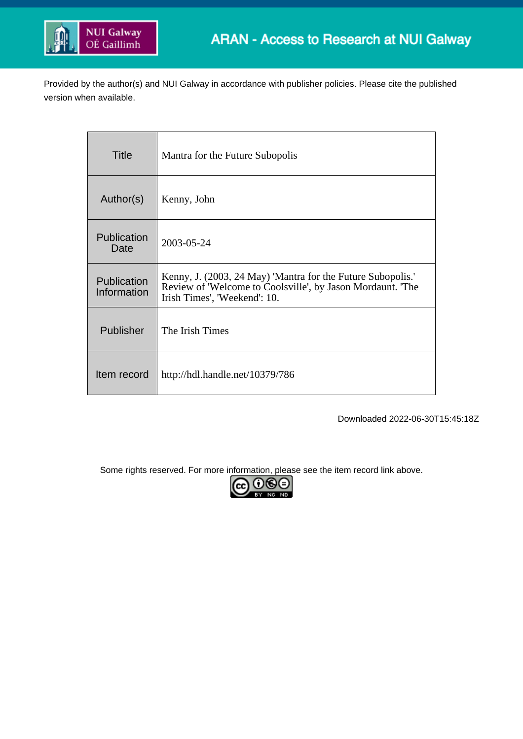

Provided by the author(s) and NUI Galway in accordance with publisher policies. Please cite the published version when available.

| Title                      | Mantra for the Future Subopolis                                                                                                                           |
|----------------------------|-----------------------------------------------------------------------------------------------------------------------------------------------------------|
| Author(s)                  | Kenny, John                                                                                                                                               |
| Publication<br>Date        | 2003-05-24                                                                                                                                                |
| Publication<br>Information | Kenny, J. (2003, 24 May) 'Mantra for the Future Subopolis.'<br>Review of 'Welcome to Coolsville', by Jason Mordaunt. 'The<br>Irish Times', 'Weekend': 10. |
| Publisher                  | The Irish Times                                                                                                                                           |
| Item record                | http://hdl.handle.net/10379/786                                                                                                                           |

Downloaded 2022-06-30T15:45:18Z

Some rights reserved. For more information, please see the item record link above.

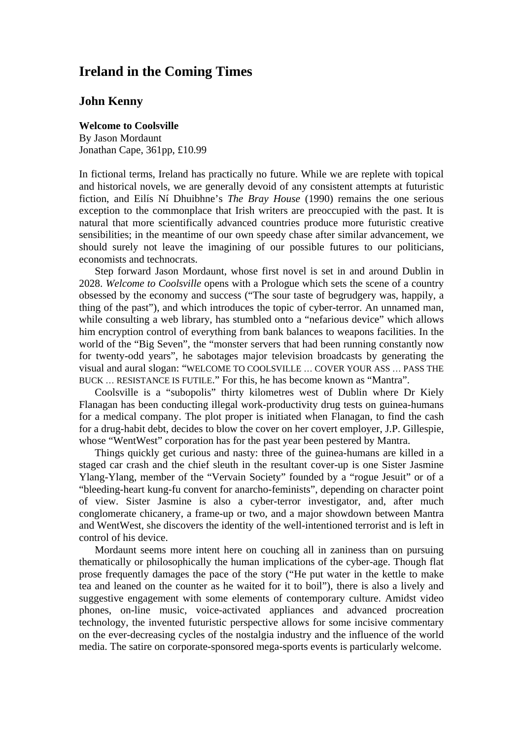## **Ireland in the Coming Times**

## **John Kenny**

## **Welcome to Coolsville**

By Jason Mordaunt Jonathan Cape, 361pp, £10.99

In fictional terms, Ireland has practically no future. While we are replete with topical and historical novels, we are generally devoid of any consistent attempts at futuristic fiction, and Eilís Ní Dhuibhne's *The Bray House* (1990) remains the one serious exception to the commonplace that Irish writers are preoccupied with the past. It is natural that more scientifically advanced countries produce more futuristic creative sensibilities; in the meantime of our own speedy chase after similar advancement, we should surely not leave the imagining of our possible futures to our politicians, economists and technocrats.

Step forward Jason Mordaunt, whose first novel is set in and around Dublin in 2028. *Welcome to Coolsville* opens with a Prologue which sets the scene of a country obsessed by the economy and success ("The sour taste of begrudgery was, happily, a thing of the past"), and which introduces the topic of cyber-terror. An unnamed man, while consulting a web library, has stumbled onto a "nefarious device" which allows him encryption control of everything from bank balances to weapons facilities. In the world of the "Big Seven", the "monster servers that had been running constantly now for twenty-odd years", he sabotages major television broadcasts by generating the visual and aural slogan: "WELCOME TO COOLSVILLE … COVER YOUR ASS … PASS THE BUCK … RESISTANCE IS FUTILE." For this, he has become known as "Mantra".

Coolsville is a "subopolis" thirty kilometres west of Dublin where Dr Kiely Flanagan has been conducting illegal work-productivity drug tests on guinea-humans for a medical company. The plot proper is initiated when Flanagan, to find the cash for a drug-habit debt, decides to blow the cover on her covert employer, J.P. Gillespie, whose "WentWest" corporation has for the past year been pestered by Mantra.

Things quickly get curious and nasty: three of the guinea-humans are killed in a staged car crash and the chief sleuth in the resultant cover-up is one Sister Jasmine Ylang-Ylang, member of the "Vervain Society" founded by a "rogue Jesuit" or of a "bleeding-heart kung-fu convent for anarcho-feminists", depending on character point of view. Sister Jasmine is also a cyber-terror investigator, and, after much conglomerate chicanery, a frame-up or two, and a major showdown between Mantra and WentWest, she discovers the identity of the well-intentioned terrorist and is left in control of his device.

Mordaunt seems more intent here on couching all in zaniness than on pursuing thematically or philosophically the human implications of the cyber-age. Though flat prose frequently damages the pace of the story ("He put water in the kettle to make tea and leaned on the counter as he waited for it to boil"), there is also a lively and suggestive engagement with some elements of contemporary culture. Amidst video phones, on-line music, voice-activated appliances and advanced procreation technology, the invented futuristic perspective allows for some incisive commentary on the ever-decreasing cycles of the nostalgia industry and the influence of the world media. The satire on corporate-sponsored mega-sports events is particularly welcome.